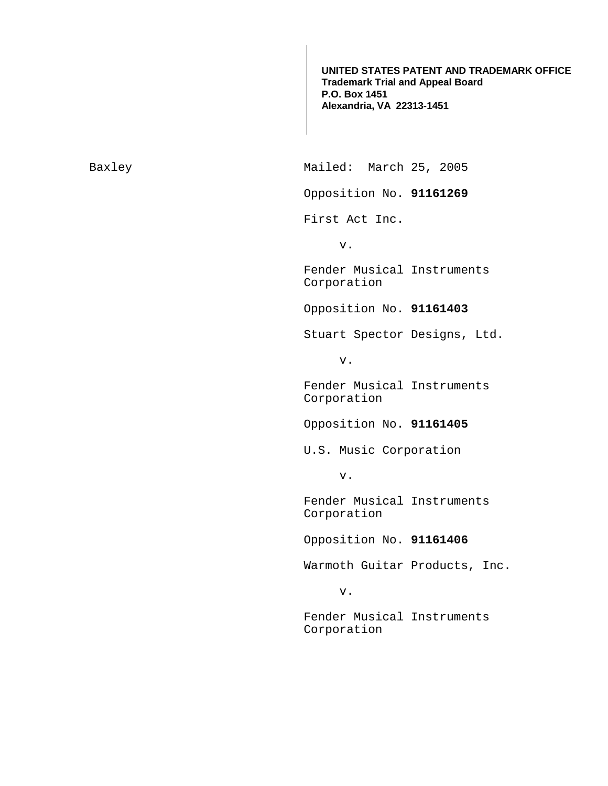**UNITED STATES PATENT AND TRADEMARK OFFICE Trademark Trial and Appeal Board P.O. Box 1451 Alexandria, VA 22313-1451**

Baxley Mailed: March 25, 2005

Opposition No. **91161269** 

First Act Inc.

v.

Fender Musical Instruments Corporation

Opposition No. **91161403** 

Stuart Spector Designs, Ltd.

v.

Fender Musical Instruments Corporation

Opposition No. **91161405** 

U.S. Music Corporation

v.

Fender Musical Instruments Corporation

Opposition No. **91161406** 

Warmoth Guitar Products, Inc.

v.

Fender Musical Instruments Corporation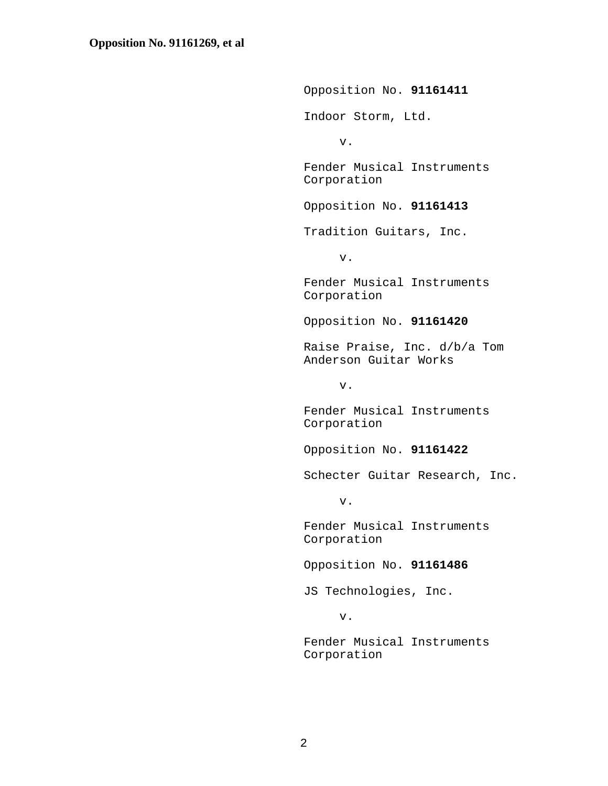Opposition No. **91161411**  Indoor Storm, Ltd. v. Fender Musical Instruments Corporation Opposition No. **91161413**  Tradition Guitars, Inc. v. Fender Musical Instruments Corporation Opposition No. **91161420**  Raise Praise, Inc. d/b/a Tom Anderson Guitar Works v. Fender Musical Instruments Corporation Opposition No. **91161422**  Schecter Guitar Research, Inc. v. Fender Musical Instruments Corporation Opposition No. **91161486**  JS Technologies, Inc. v. Fender Musical Instruments Corporation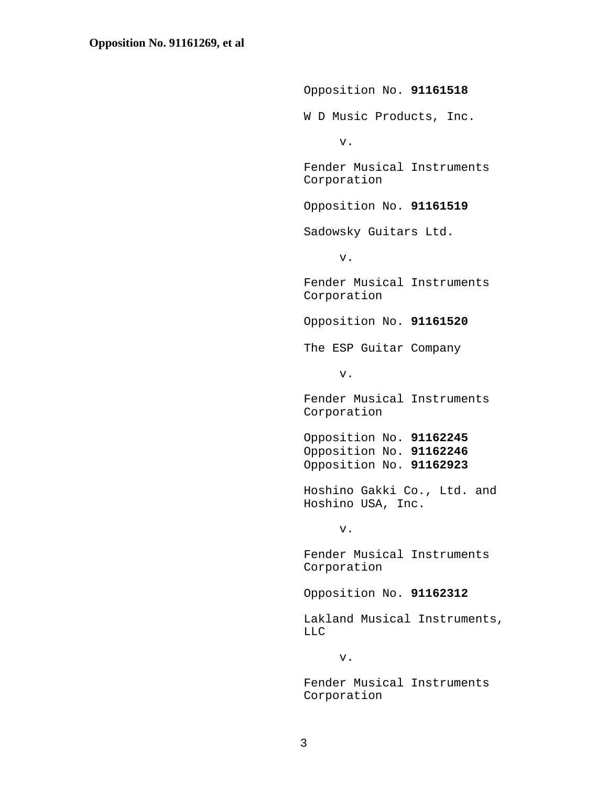Opposition No. **91161518**  W D Music Products, Inc. v. Fender Musical Instruments Corporation Opposition No. **91161519**  Sadowsky Guitars Ltd. v. Fender Musical Instruments Corporation Opposition No. **91161520**  The ESP Guitar Company v. Fender Musical Instruments Corporation Opposition No. **91162245**  Opposition No. **91162246**  Opposition No. **91162923**  Hoshino Gakki Co., Ltd. and Hoshino USA, Inc. v. Fender Musical Instruments Corporation Opposition No. **91162312**  Lakland Musical Instruments, LLC v. Fender Musical Instruments Corporation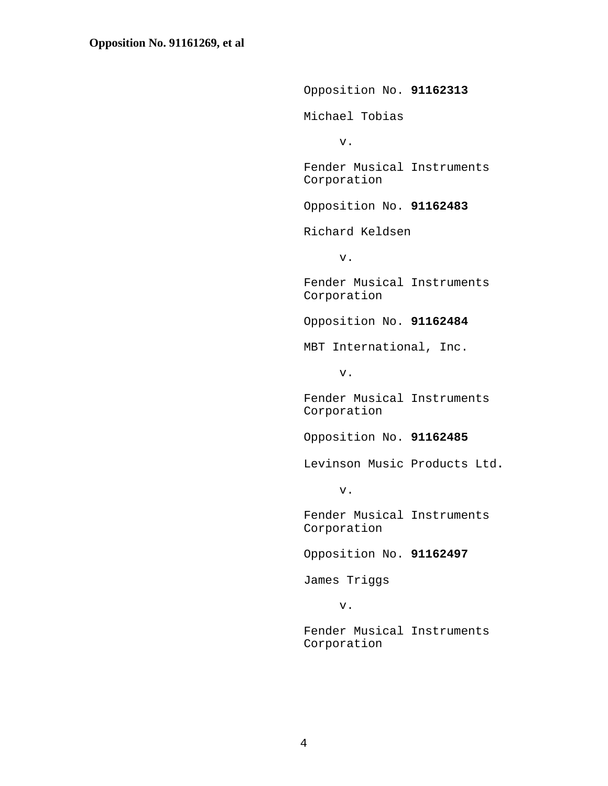Opposition No. **91162313**  Michael Tobias v. Fender Musical Instruments Corporation Opposition No. **91162483**  Richard Keldsen v. Fender Musical Instruments Corporation Opposition No. **91162484**  MBT International, Inc. v. Fender Musical Instruments Corporation Opposition No. **91162485**  Levinson Music Products Ltd**.** v. Fender Musical Instruments Corporation Opposition No. **91162497**  James Triggs v. Fender Musical Instruments

Corporation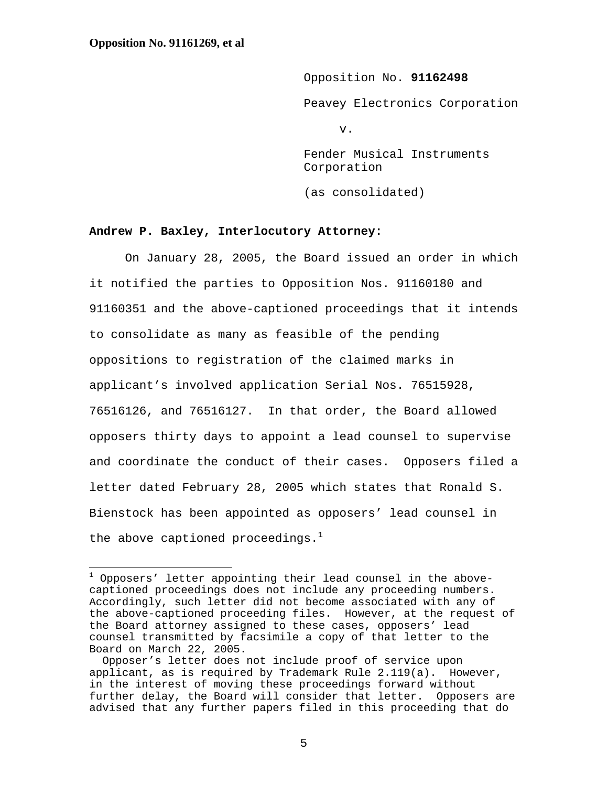e<br>S

Opposition No. **91162498**  Peavey Electronics Corporation v. Fender Musical Instruments Corporation

(as consolidated)

## **Andrew P. Baxley, Interlocutory Attorney:**

 On January 28, 2005, the Board issued an order in which it notified the parties to Opposition Nos. 91160180 and 91160351 and the above-captioned proceedings that it intends to consolidate as many as feasible of the pending oppositions to registration of the claimed marks in applicant's involved application Serial Nos. 76515928, 76516126, and 76516127. In that order, the Board allowed opposers thirty days to appoint a lead counsel to supervise and coordinate the conduct of their cases. Opposers filed a letter dated February 28, 2005 which states that Ronald S. Bienstock has been appointed as opposers' lead counsel in the above captioned proceedings. $^{\mathrm{1}}$ 

5

<sup>&</sup>lt;sup>1</sup> Opposers' letter appointing their lead counsel in the abovecaptioned proceedings does not include any proceeding numbers. Accordingly, such letter did not become associated with any of the above-captioned proceeding files. However, at the request of the Board attorney assigned to these cases, opposers' lead counsel transmitted by facsimile a copy of that letter to the Board on March 22, 2005.

Opposer's letter does not include proof of service upon applicant, as is required by Trademark Rule  $2.119(a)$ . However, in the interest of moving these proceedings forward without further delay, the Board will consider that letter. Opposers are advised that any further papers filed in this proceeding that do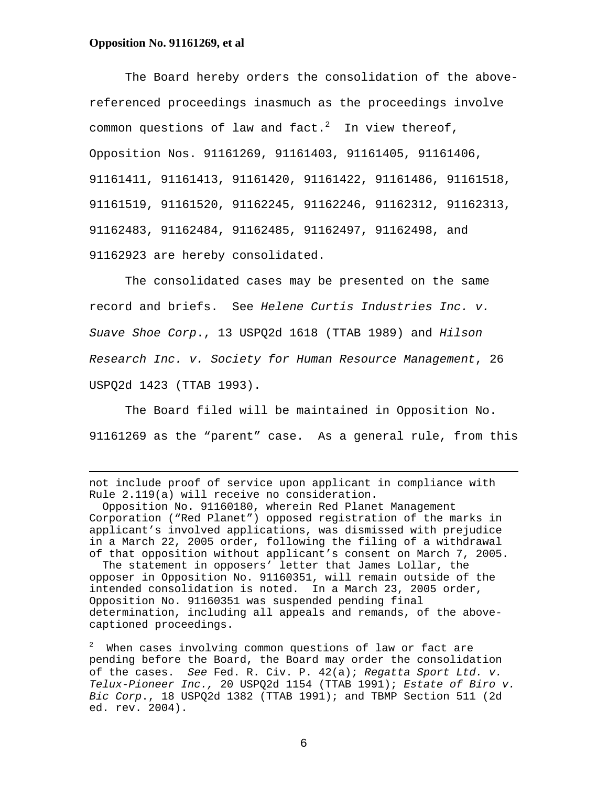## **Opposition No. 91161269, et al**

 $\overline{\phantom{0}}$ 

The Board hereby orders the consolidation of the abovereferenced proceedings inasmuch as the proceedings involve common questions of law and fact. $^2$  In view thereof, Opposition Nos. 91161269, 91161403, 91161405, 91161406, 91161411, 91161413, 91161420, 91161422, 91161486, 91161518, 91161519, 91161520, 91162245, 91162246, 91162312, 91162313, 91162483, 91162484, 91162485, 91162497, 91162498, and 91162923 are hereby consolidated.

 The consolidated cases may be presented on the same record and briefs. See Helene Curtis Industries Inc. v. Suave Shoe Corp., 13 USPQ2d 1618 (TTAB 1989) and Hilson Research Inc. v. Society for Human Resource Management, 26 USPQ2d 1423 (TTAB 1993).

 The Board filed will be maintained in Opposition No. 91161269 as the "parent" case. As a general rule, from this

not include proof of service upon applicant in compliance with Rule 2.119(a) will receive no consideration.

 Opposition No. 91160180, wherein Red Planet Management Corporation ("Red Planet") opposed registration of the marks in applicant's involved applications, was dismissed with prejudice in a March 22, 2005 order, following the filing of a withdrawal of that opposition without applicant's consent on March 7, 2005. The statement in opposers' letter that James Lollar, the opposer in Opposition No. 91160351, will remain outside of the intended consolidation is noted. In a March 23, 2005 order, Opposition No. 91160351 was suspended pending final determination, including all appeals and remands, of the abovecaptioned proceedings.

 $^2$  When cases involving common questions of law or fact are pending before the Board, the Board may order the consolidation of the cases. See Fed. R. Civ. P. 42(a); Regatta Sport Ltd. v. Telux-Pioneer Inc., 20 USPQ2d 1154 (TTAB 1991); Estate of Biro v. Bic Corp., 18 USPQ2d 1382 (TTAB 1991); and TBMP Section 511 (2d ed. rev. 2004).

6